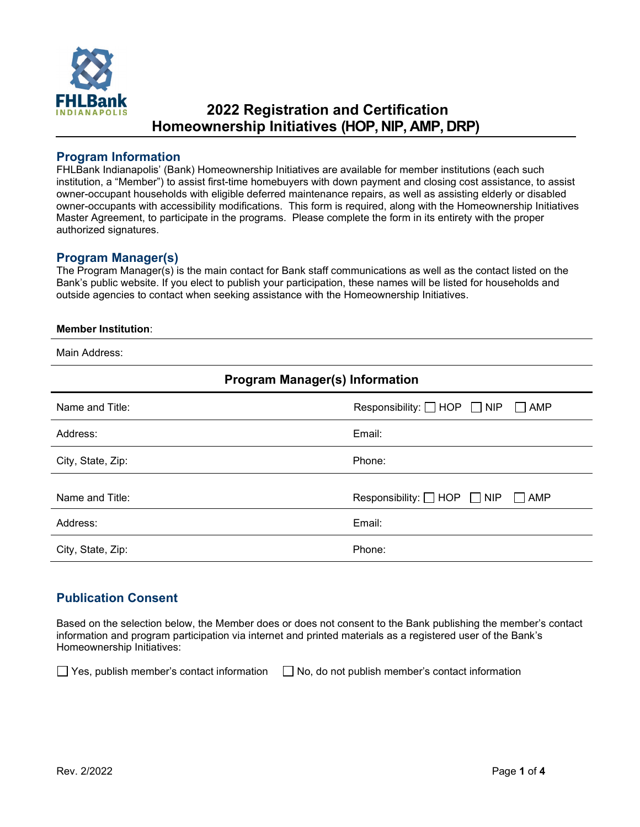

# **2022 Registration and Certification Homeownership Initiatives (HOP, NIP, AMP, DRP)**

### **Program Information**

FHLBank Indianapolis' (Bank) Homeownership Initiatives are available for member institutions (each such institution, a "Member") to assist first-time homebuyers with down payment and closing cost assistance, to assist owner-occupant households with eligible deferred maintenance repairs, as well as assisting elderly or disabled owner-occupants with accessibility modifications. This form is required, along with the Homeownership Initiatives Master Agreement, to participate in the programs. Please complete the form in its entirety with the proper authorized signatures.

### **Program Manager(s)**

The Program Manager(s) is the main contact for Bank staff communications as well as the contact listed on the Bank's public website. If you elect to publish your participation, these names will be listed for households and outside agencies to contact when seeking assistance with the Homeownership Initiatives.

#### **Member Institution**:

Main Address:

| <b>Program Manager(s) Information</b> |                                                     |  |
|---------------------------------------|-----------------------------------------------------|--|
| Name and Title:                       | Responsibility: $\Box$ HOP $\Box$ NIP<br>$\Box$ AMP |  |
| Address:                              | Email:                                              |  |
| City, State, Zip:                     | Phone:                                              |  |
| Name and Title:                       | Responsibility: $\Box$ HOP $\Box$ NIP<br>$\Box$ AMP |  |
| Address:                              | Email:                                              |  |
| City, State, Zip:                     | Phone:                                              |  |

### **Publication Consent**

Based on the selection below, the Member does or does not consent to the Bank publishing the member's contact information and program participation via internet and printed materials as a registered user of the Bank's Homeownership Initiatives:

 $\Box$  Yes, publish member's contact information  $\Box$  No, do not publish member's contact information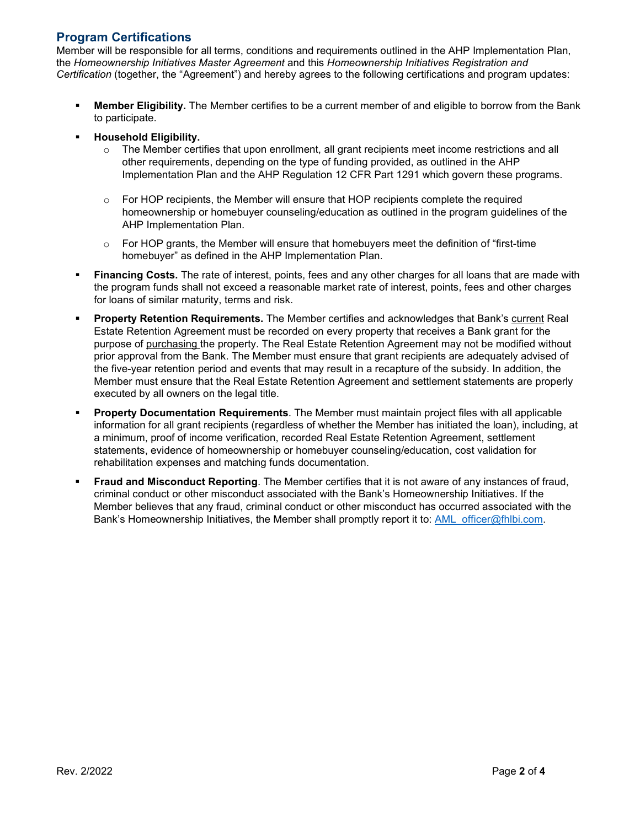# **Program Certifications**

Member will be responsible for all terms, conditions and requirements outlined in the AHP Implementation Plan, the *Homeownership Initiatives Master Agreement* and this *Homeownership Initiatives Registration and Certification* (together, the "Agreement") and hereby agrees to the following certifications and program updates:

- **Member Eligibility.** The Member certifies to be a current member of and eligible to borrow from the Bank to participate.
- **Household Eligibility.**
	- $\circ$  The Member certifies that upon enrollment, all grant recipients meet income restrictions and all other requirements, depending on the type of funding provided, as outlined in the AHP Implementation Plan and the AHP Regulation 12 CFR Part 1291 which govern these programs.
	- $\circ$  For HOP recipients, the Member will ensure that HOP recipients complete the required homeownership or homebuyer counseling/education as outlined in the program guidelines of the AHP Implementation Plan.
	- $\circ$  For HOP grants, the Member will ensure that homebuyers meet the definition of "first-time" homebuyer" as defined in the AHP Implementation Plan.
- **Financing Costs.** The rate of interest, points, fees and any other charges for all loans that are made with the program funds shall not exceed a reasonable market rate of interest, points, fees and other charges for loans of similar maturity, terms and risk.
- **Property Retention Requirements.** The Member certifies and acknowledges that Bank's current Real Estate Retention Agreement must be recorded on every property that receives a Bank grant for the purpose of purchasing the property. The Real Estate Retention Agreement may not be modified without prior approval from the Bank. The Member must ensure that grant recipients are adequately advised of the five-year retention period and events that may result in a recapture of the subsidy. In addition, the Member must ensure that the Real Estate Retention Agreement and settlement statements are properly executed by all owners on the legal title.
- **Property Documentation Requirements**. The Member must maintain project files with all applicable information for all grant recipients (regardless of whether the Member has initiated the loan), including, at a minimum, proof of income verification, recorded Real Estate Retention Agreement, settlement statements, evidence of homeownership or homebuyer counseling/education, cost validation for rehabilitation expenses and matching funds documentation.
- **Fraud and Misconduct Reporting**. The Member certifies that it is not aware of any instances of fraud, criminal conduct or other misconduct associated with the Bank's Homeownership Initiatives. If the Member believes that any fraud, criminal conduct or other misconduct has occurred associated with the Bank's Homeownership Initiatives, the Member shall promptly report it to: AML officer@fhlbi.com.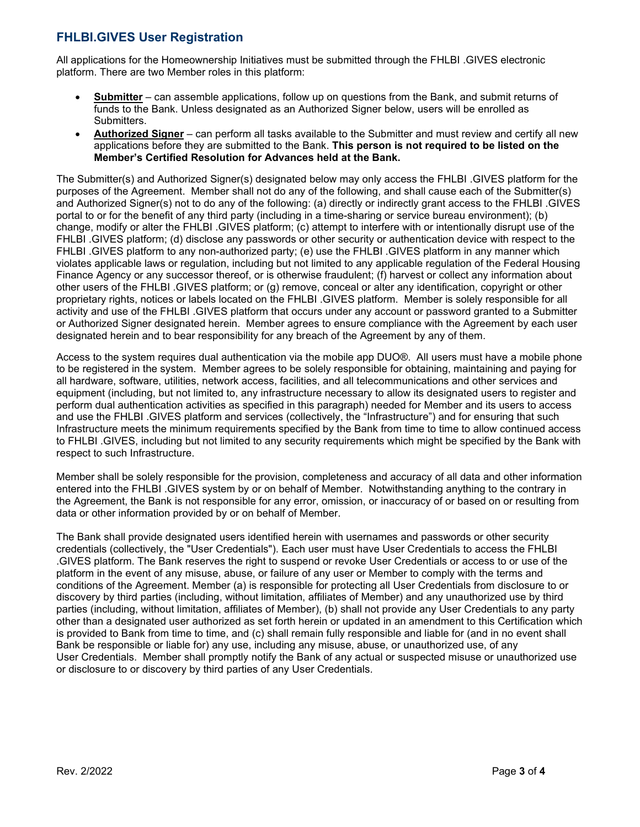# **FHLBI.GIVES User Registration**

All applications for the Homeownership Initiatives must be submitted through the FHLBI .GIVES electronic platform. There are two Member roles in this platform:

- **Submitter** can assemble applications, follow up on questions from the Bank, and submit returns of funds to the Bank. Unless designated as an Authorized Signer below, users will be enrolled as Submitters.
- **Authorized Signer** can perform all tasks available to the Submitter and must review and certify all new applications before they are submitted to the Bank. **This person is not required to be listed on the Member's Certified Resolution for Advances held at the Bank.**

The Submitter(s) and Authorized Signer(s) designated below may only access the FHLBI .GIVES platform for the purposes of the Agreement. Member shall not do any of the following, and shall cause each of the Submitter(s) and Authorized Signer(s) not to do any of the following: (a) directly or indirectly grant access to the FHLBI .GIVES portal to or for the benefit of any third party (including in a time-sharing or service bureau environment); (b) change, modify or alter the FHLBI .GIVES platform; (c) attempt to interfere with or intentionally disrupt use of the FHLBI .GIVES platform; (d) disclose any passwords or other security or authentication device with respect to the FHLBI .GIVES platform to any non-authorized party; (e) use the FHLBI .GIVES platform in any manner which violates applicable laws or regulation, including but not limited to any applicable regulation of the Federal Housing Finance Agency or any successor thereof, or is otherwise fraudulent; (f) harvest or collect any information about other users of the FHLBI .GIVES platform; or (g) remove, conceal or alter any identification, copyright or other proprietary rights, notices or labels located on the FHLBI .GIVES platform. Member is solely responsible for all activity and use of the FHLBI .GIVES platform that occurs under any account or password granted to a Submitter or Authorized Signer designated herein. Member agrees to ensure compliance with the Agreement by each user designated herein and to bear responsibility for any breach of the Agreement by any of them.

Access to the system requires dual authentication via the mobile app DUO®. All users must have a mobile phone to be registered in the system. Member agrees to be solely responsible for obtaining, maintaining and paying for all hardware, software, utilities, network access, facilities, and all telecommunications and other services and equipment (including, but not limited to, any infrastructure necessary to allow its designated users to register and perform dual authentication activities as specified in this paragraph) needed for Member and its users to access and use the FHLBI .GIVES platform and services (collectively, the "Infrastructure") and for ensuring that such Infrastructure meets the minimum requirements specified by the Bank from time to time to allow continued access to FHLBI .GIVES, including but not limited to any security requirements which might be specified by the Bank with respect to such Infrastructure.

Member shall be solely responsible for the provision, completeness and accuracy of all data and other information entered into the FHLBI .GIVES system by or on behalf of Member. Notwithstanding anything to the contrary in the Agreement, the Bank is not responsible for any error, omission, or inaccuracy of or based on or resulting from data or other information provided by or on behalf of Member.

The Bank shall provide designated users identified herein with usernames and passwords or other security credentials (collectively, the "User Credentials"). Each user must have User Credentials to access the FHLBI .GIVES platform. The Bank reserves the right to suspend or revoke User Credentials or access to or use of the platform in the event of any misuse, abuse, or failure of any user or Member to comply with the terms and conditions of the Agreement. Member (a) is responsible for protecting all User Credentials from disclosure to or discovery by third parties (including, without limitation, affiliates of Member) and any unauthorized use by third parties (including, without limitation, affiliates of Member), (b) shall not provide any User Credentials to any party other than a designated user authorized as set forth herein or updated in an amendment to this Certification which is provided to Bank from time to time, and (c) shall remain fully responsible and liable for (and in no event shall Bank be responsible or liable for) any use, including any misuse, abuse, or unauthorized use, of any User Credentials. Member shall promptly notify the Bank of any actual or suspected misuse or unauthorized use or disclosure to or discovery by third parties of any User Credentials.